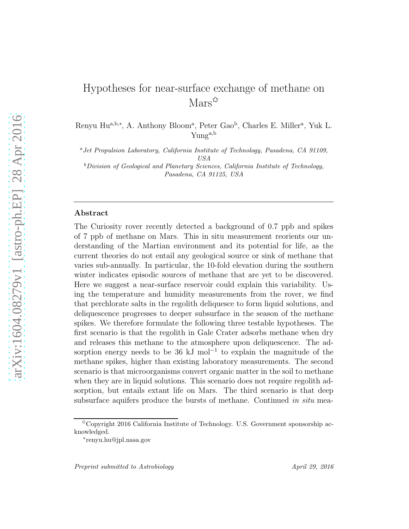# Hypotheses for near-surface exchange of methane on  $Mars^{\mathcal{R}}$

Renyu Hu<sup>a,b,∗</sup>, A. Anthony Bloom<sup>a</sup>, Peter Gao<sup>b</sup>, Charles E. Miller<sup>a</sup>, Yuk L. Yunga,b

<sup>a</sup>Jet Propulsion Laboratory, California Institute of Technology, Pasadena, CA 91109, USA

 $b$ Division of Geological and Planetary Sciences, California Institute of Technology, Pasadena, CA 91125, USA

## Abstract

The Curiosity rover recently detected a background of 0.7 ppb and spikes of 7 ppb of methane on Mars. This in situ measurement reorients our understanding of the Martian environment and its potential for life, as the current theories do not entail any geological source or sink of methane that varies sub-annually. In particular, the 10-fold elevation during the southern winter indicates episodic sources of methane that are yet to be discovered. Here we suggest a near-surface reservoir could explain this variability. Using the temperature and humidity measurements from the rover, we find that perchlorate salts in the regolith deliquesce to form liquid solutions, and deliquescence progresses to deeper subsurface in the season of the methane spikes. We therefore formulate the following three testable hypotheses. The first scenario is that the regolith in Gale Crater adsorbs methane when dry and releases this methane to the atmosphere upon deliquescence. The adsorption energy needs to be 36 kJ mol<sup>-1</sup> to explain the magnitude of the methane spikes, higher than existing laboratory measurements. The second scenario is that microorganisms convert organic matter in the soil to methane when they are in liquid solutions. This scenario does not require regolith adsorption, but entails extant life on Mars. The third scenario is that deep subsurface aquifers produce the bursts of methane. Continued in situ mea-

<sup>✩</sup>Copyright 2016 California Institute of Technology. U.S. Government sponsorship acknowledged.

<sup>∗</sup> renyu.hu@jpl.nasa.gov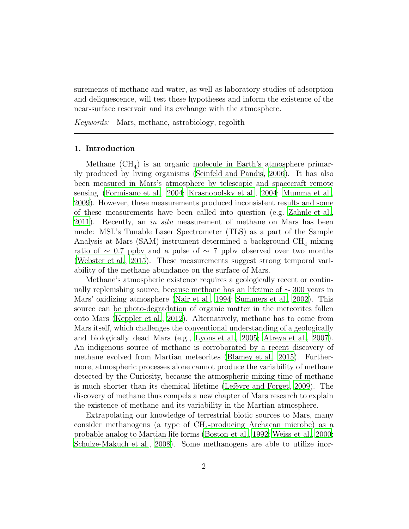surements of methane and water, as well as laboratory studies of adsorption and deliquescence, will test these hypotheses and inform the existence of the near-surface reservoir and its exchange with the atmosphere.

Keywords: Mars, methane, astrobiology, regolith

## 1. Introduction

Methane (CH<sup>4</sup> ) is an organic molecule in Earth's atmosphere primarily produced by living organisms [\(Seinfeld and Pandis](#page-26-0), [2006](#page-26-0)). It has also been measured in Mars's atmosphere by telescopic and spacecraft remote sensing [\(Formisano et al., 2004](#page-20-0); [Krasnopolsky et al., 2004;](#page-23-0) [Mumma et](#page-25-0) al., [2009](#page-25-0)). However, these measurements produced inconsistent results and some of these measurements have been called into question (e.g. [Zahnle et al.](#page-28-0), [2011](#page-28-0)). Recently, an *in situ* measurement of methane on Mars has been made: MSL's Tunable Laser Spectrometer (TLS) as a part of the Sample Analysis at Mars (SAM) instrument determined a background  $\text{CH}_4$  mixing ratio of  $\sim$  0.7 ppbv and a pulse of  $\sim$  7 ppbv observed over two months [\(Webster et al., 2015\)](#page-28-1). These measurements suggest strong temporal variability of the methane abundance on the surface of Mars.

Methane's atmospheric existence requires a geologically recent or continually replenishing source, because methane has an lifetime of ∼ 300 years in Mars' oxidizing atmosphere [\(Nair et al., 1994;](#page-25-1) [Summers et al.](#page-27-0), [2002\)](#page-27-0). This source can be photo-degradation of organic matter in the meteorites fallen onto Mars [\(Keppler et al., 2012\)](#page-23-1). Alternatively, methane has to come from Mars itself, which challenges the conventional understanding of a geologically and biologically dead Mars (e.g., [Lyons et al., 2005](#page-24-0); [Atreya et al., 2007\)](#page-19-0). An indigenous source of methane is corroborated by a recent discovery of methane evolved from Martian meteorites [\(Blamey et al.](#page-19-1), [2015](#page-19-1)). Furthermore, atmospheric processes alone cannot produce the variability of methane detected by the Curiosity, because the atmospheric mixing time of methane is much shorter than its chemical lifetime (Lefèvre and Forget, 2009). The discovery of methane thus compels a new chapter of Mars research to explain the existence of methane and its variability in the Martian atmosphere.

Extrapolating our knowledge of terrestrial biotic sources to Mars, many consider methanogens (a type of  $\text{CH}_4$ -producing Archaean microbe) as a probable analog to Martian life forms [\(Boston et al., 1992;](#page-19-2) [Weiss et al.](#page-28-2), [2000](#page-28-2); [Schulze-Makuch et al.](#page-26-1), [2008](#page-26-1)). Some methanogens are able to utilize inor-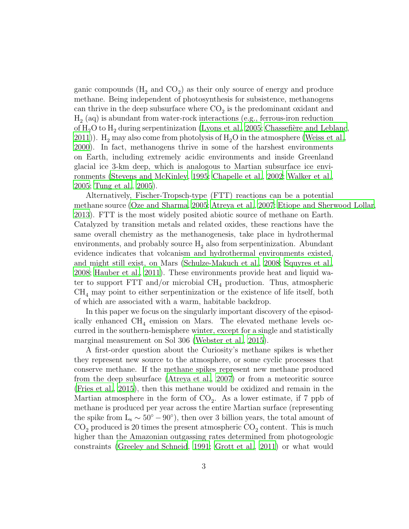ganic compounds  $(H_2 \text{ and } CO_2)$  as their only source of energy and produce methane. Being independent of photosynthesis for subsistence, methanogens can thrive in the deep subsurface where  $CO_2$  is the predominant oxidant and H2 (aq) is abundant from water-rock interactions (e.g., ferrous-iron reduction of  $H_2O$  to  $H_2$  during serpentinization [\(Lyons et al., 2005;](#page-24-0) Chassefière and Leblanc, [2011](#page-20-1))). H<sub>2</sub> may also come from photolysis of  $H_2O$  in the atmosphere [\(Weiss et al.](#page-28-2), [2000](#page-28-2)). In fact, methanogens thrive in some of the harshest environments on Earth, including extremely acidic environments and inside Greenland glacial ice 3-km deep, which is analogous to Martian subsurface ice environments [\(Stevens and McKinley, 1995;](#page-27-1) [Chapelle et al., 2002](#page-20-2); [Walker](#page-27-2) et al., [2005](#page-27-2); [Tung et al., 2005](#page-27-3)).

Alternatively, Fischer-Tropsch-type (FTT) reactions can be a potential methane source [\(Oze and Sharma](#page-25-2), [2005;](#page-25-2) [Atreya et al., 2007](#page-19-0); [Etiope and Sherwood Lollar,](#page-20-3) [2013](#page-20-3)). FTT is the most widely posited abiotic source of methane on Earth. Catalyzed by transition metals and related oxides, these reactions have the same overall chemistry as the methanogenesis, take place in hydrothermal environments, and probably source  $H_2$  also from serpentinization. Abundant evidence indicates that volcanism and hydrothermal environments existed, and might still exist, on Mars [\(Schulze-Makuch et al.](#page-26-1), [2008;](#page-26-1) [Squyres](#page-26-2) et al., [2008](#page-26-2); [Hauber et al.](#page-22-0), [2011\)](#page-22-0). These environments provide heat and liquid water to support FTT and/or microbial  $\text{CH}_4$  production. Thus, atmospheric  $CH<sub>4</sub>$  may point to either serpentinization or the existence of life itself, both of which are associated with a warm, habitable backdrop.

In this paper we focus on the singularly important discovery of the episodically enhanced CH<sub>4</sub> emission on Mars. The elevated methane levels occurred in the southern-hemisphere winter, except for a single and statistically marginal measurement on Sol 306 [\(Webster et al.](#page-28-1), [2015\)](#page-28-1).

A first-order question about the Curiosity's methane spikes is whether they represent new source to the atmosphere, or some cyclic processes that conserve methane. If the methane spikes represent new methane produced from the deep subsurface [\(Atreya et al., 2007](#page-19-0)) or from a meteoritic source [\(Fries et al., 2015\)](#page-21-0), then this methane would be oxidized and remain in the Martian atmosphere in the form of  $CO<sub>2</sub>$ . As a lower estimate, if 7 ppb of methane is produced per year across the entire Martian surface (representing the spike from  $L_s \sim 50^{\circ} - 90^{\circ}$ , then over 3 billion years, the total amount of  $CO<sub>2</sub>$  produced is 20 times the present atmospheric  $CO<sub>2</sub>$  content. This is much higher than the Amazonian outgassing rates determined from photogeologic constraints [\(Greeley and Schneid](#page-22-1), [1991](#page-22-1); [Grott et al., 2011\)](#page-22-2) or what would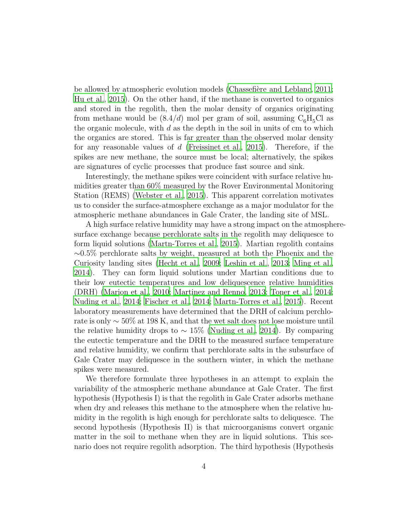be allowed by atmospheric evolution models (Chassefière and Leblanc, 2011; [Hu et al., 2015](#page-23-3)). On the other hand, if the methane is converted to organics and stored in the regolith, then the molar density of organics originating from methane would be  $(8.4/d)$  mol per gram of soil, assuming  $C_6H_5Cl$  as the organic molecule, with  $d$  as the depth in the soil in units of cm to which the organics are stored. This is far greater than the observed molar density for any reasonable values of  $d$  [\(Freissinet et al., 2015](#page-21-1)). Therefore, if the spikes are new methane, the source must be local; alternatively, the spikes are signatures of cyclic processes that produce fast source and sink.

Interestingly, the methane spikes were coincident with surface relative humidities greater than 60% measured by the Rover Environmental Monitoring Station (REMS) [\(Webster et al., 2015](#page-28-1)). This apparent correlation motivates us to consider the surface-atmosphere exchange as a major modulator for the atmospheric methane abundances in Gale Crater, the landing site of MSL.

A high surface relative humidity may have a strong impact on the atmospheresurface exchange because perchlorate salts in the regolith may deliquesce to form liquid solutions [\(Martn-Torres et al., 2015\)](#page-24-1). Martian regolith contains  $~\sim 0.5\%$  perchlorate salts by weight, measured at both the Phoenix and the Curiosity landing sites [\(Hecht et al., 2009;](#page-22-3) [Leshin et al., 2013;](#page-23-4) [Ming et](#page-24-2) al., [2014](#page-24-2)). They can form liquid solutions under Martian conditions due to their low eutectic temperatures and low deliquescence relative humidities (DRH) [\(Marion et al.](#page-24-3), [2010](#page-24-3); [Martinez and Renno](#page-24-4), [2013;](#page-24-4) [Toner et al., 2014](#page-27-4); [Nuding et al.](#page-25-3), [2014](#page-25-3); [Fischer et al.](#page-20-4), [2014;](#page-20-4) [Martn-Torres et al., 2015\)](#page-24-1). Recent laboratory measurements have determined that the DRH of calcium perchlorate is only ∼ 50% at 198 K, and that the wet salt does not lose moisture until the relative humidity drops to  $\sim 15\%$  [\(Nuding et al., 2014\)](#page-25-3). By comparing the eutectic temperature and the DRH to the measured surface temperature and relative humidity, we confirm that perchlorate salts in the subsurface of Gale Crater may deliquesce in the southern winter, in which the methane spikes were measured.

We therefore formulate three hypotheses in an attempt to explain the variability of the atmospheric methane abundance at Gale Crater. The first hypothesis (Hypothesis I) is that the regolith in Gale Crater adsorbs methane when dry and releases this methane to the atmosphere when the relative humidity in the regolith is high enough for perchlorate salts to deliquesce. The second hypothesis (Hypothesis II) is that microorganisms convert organic matter in the soil to methane when they are in liquid solutions. This scenario does not require regolith adsorption. The third hypothesis (Hypothesis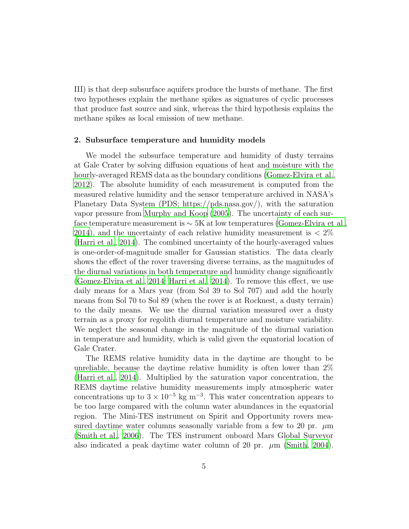III) is that deep subsurface aquifers produce the bursts of methane. The first two hypotheses explain the methane spikes as signatures of cyclic processes that produce fast source and sink, whereas the third hypothesis explains the methane spikes as local emission of new methane.

#### 2. Subsurface temperature and humidity models

We model the subsurface temperature and humidity of dusty terrains at Gale Crater by solving diffusion equations of heat and moisture with the hourly-averaged REMS data as the boundary conditions [\(Gomez-Elvira et al.](#page-21-2), [2012](#page-21-2)). The absolute humidity of each measurement is computed from the measured relative humidity and the sensor temperature archived in NASA's Planetary Data System (PDS; https://pds.nasa.gov/), with the saturation vapor pressure from [Murphy and Koop \(2005](#page-25-4)). The uncertainty of each surface temperature measurement is ∼ 5K at low temperatures [\(Gomez-Elvira et al.,](#page-21-3) [2014](#page-21-3)), and the uncertainty of each relative humidity measurement is  $\langle 2\% \rangle$ [\(Harri et al.](#page-22-4), [2014](#page-22-4)). The combined uncertainty of the hourly-averaged values is one-order-of-magnitude smaller for Gaussian statistics. The data clearly shows the effect of the rover traversing diverse terrains, as the magnitudes of the diurnal variations in both temperature and humidity change significantly [\(Gomez-Elvira et al., 2014;](#page-21-3) [Harri et al., 2014\)](#page-22-4). To remove this effect, we use daily means for a Mars year (from Sol 39 to Sol 707) and add the hourly means from Sol 70 to Sol 89 (when the rover is at Rocknest, a dusty terrain) to the daily means. We use the diurnal variation measured over a dusty terrain as a proxy for regolith diurnal temperature and moisture variability. We neglect the seasonal change in the magnitude of the diurnal variation in temperature and humidity, which is valid given the equatorial location of Gale Crater.

The REMS relative humidity data in the daytime are thought to be unreliable, because the daytime relative humidity is often lower than 2% [\(Harri et al.](#page-22-4), [2014\)](#page-22-4). Multiplied by the saturation vapor concentration, the REMS daytime relative humidity measurements imply atmospheric water concentrations up to  $3 \times 10^{-5}$  kg m<sup>-3</sup>. This water concentration appears to be too large compared with the column water abundances in the equatorial region. The Mini-TES instrument on Spirit and Opportunity rovers measured daytime water columns seasonally variable from a few to 20 pr.  $\mu$ m [\(Smith et al., 2006\)](#page-26-3). The TES instrument onboard Mars Global Surveyor also indicated a peak daytime water column of 20 pr.  $\mu$ m [\(Smith, 2004\)](#page-26-4).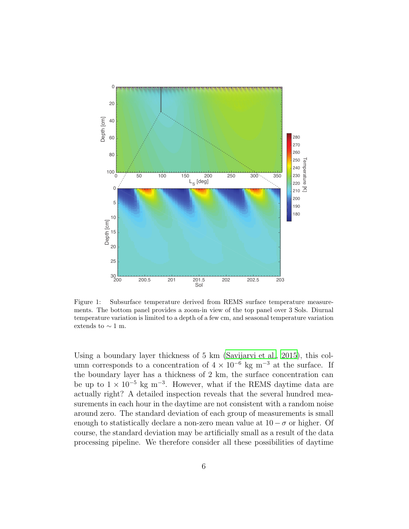

<span id="page-5-0"></span>Figure 1: Subsurface temperature derived from REMS surface temperature measurements. The bottom panel provides a zoom-in view of the top panel over 3 Sols. Diurnal temperature variation is limited to a depth of a few cm, and seasonal temperature variation extends to  $\sim$  1 m.

Using a boundary layer thickness of 5 km [\(Savijarvi et al.](#page-26-5), [2015\)](#page-26-5), this column corresponds to a concentration of  $4 \times 10^{-6}$  kg m<sup>-3</sup> at the surface. If the boundary layer has a thickness of 2 km, the surface concentration can be up to  $1 \times 10^{-5}$  kg m<sup>-3</sup>. However, what if the REMS daytime data are actually right? A detailed inspection reveals that the several hundred measurements in each hour in the daytime are not consistent with a random noise around zero. The standard deviation of each group of measurements is small enough to statistically declare a non-zero mean value at  $10-\sigma$  or higher. Of course, the standard deviation may be artificially small as a result of the data processing pipeline. We therefore consider all these possibilities of daytime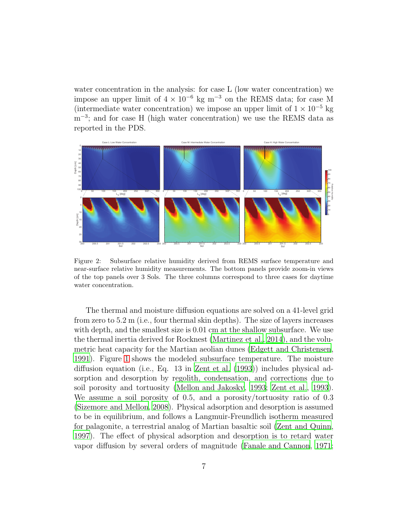water concentration in the analysis: for case L (low water concentration) we impose an upper limit of  $4 \times 10^{-6}$  kg m<sup>-3</sup> on the REMS data; for case M (intermediate water concentration) we impose an upper limit of  $1 \times 10^{-5}$  kg m<sup>-3</sup>; and for case H (high water concentration) we use the REMS data as reported in the PDS.



<span id="page-6-0"></span>Figure 2: Subsurface relative humidity derived from REMS surface temperature and near-surface relative humidity measurements. The bottom panels provide zoom-in views of the top panels over 3 Sols. The three columns correspond to three cases for daytime water concentration.

The thermal and moisture diffusion equations are solved on a 41-level grid from zero to 5.2 m (i.e., four thermal skin depths). The size of layers increases with depth, and the smallest size is  $0.01 \text{ cm}$  at the shallow subsurface. We use the thermal inertia derived for Rocknest [\(Martinez et al., 2014](#page-24-5)), and the volumetric heat capacity for the Martian aeolian dunes [\(Edgett and Christensen](#page-20-5), [1991](#page-20-5)). Figure [1](#page-5-0) shows the modeled subsurface temperature. The moisture diffusion equation (i.e., Eq. 13 in [Zent et al. \(1993\)](#page-28-3)) includes physical adsorption and desorption by regolith, condensation, and corrections due to soil porosity and tortuosity [\(Mellon and Jakosky](#page-24-6), [1993](#page-24-6); [Zent et al.,](#page-28-3) [1993\)](#page-28-3). We assume a soil porosity of 0.5, and a porosity/tortuosity ratio of 0.3 [\(Sizemore and Mellon](#page-26-6), [2008](#page-26-6)). Physical adsorption and desorption is assumed to be in equilibrium, and follows a Langmuir-Freundlich isotherm measured for palagonite, a terrestrial analog of Martian basaltic soil [\(Zent and Quinn](#page-29-0), [1997](#page-29-0)). The effect of physical adsorption and desorption is to retard water vapor diffusion by several orders of magnitude [\(Fanale and Cannon](#page-20-6), [1971](#page-20-6);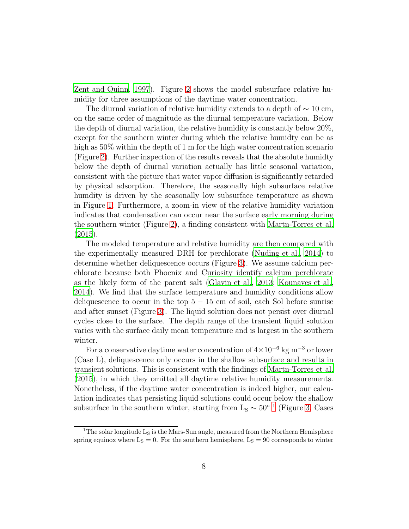[Zent and Quinn](#page-29-0), [1997](#page-29-0)). Figure [2](#page-6-0) shows the model subsurface relative humidity for three assumptions of the daytime water concentration.

The diurnal variation of relative humidity extends to a depth of  $\sim 10 \text{ cm}$ , on the same order of magnitude as the diurnal temperature variation. Below the depth of diurnal variation, the relative humidity is constantly below 20%, except for the southern winter during which the relative humidty can be as high as  $50\%$  within the depth of 1 m for the high water concentration scenario (Figure [2\)](#page-6-0). Further inspection of the results reveals that the absolute humidty below the depth of diurnal variation actually has little seasonal variation, consistent with the picture that water vapor diffusion is significantly retarded by physical adsorption. Therefore, the seasonally high subsurface relative humdity is driven by the seasonally low subsurface temperature as shown in Figure [1.](#page-5-0) Furthermore, a zoom-in view of the relative humidity variation indicates that condensation can occur near the surface early morning during the southern winter (Figure [2\)](#page-6-0), a finding consistent with [Martn-Torres et al.](#page-24-1) [\(2015\)](#page-24-1).

The modeled temperature and relative humidity are then compared with the experimentally measured DRH for perchlorate [\(Nuding et al.](#page-25-3), [2014\)](#page-25-3) to determine whether deliquescence occurs (Figure [3\)](#page-8-0). We assume calcium perchlorate because both Phoenix and Curiosity identify calcium perchlorate as the likely form of the parent salt [\(Glavin et al.](#page-21-4), [2013;](#page-21-4) [Kounaves et al.](#page-23-5), [2014](#page-23-5)). We find that the surface temperature and humidity conditions allow deliquescence to occur in the top  $5 - 15$  cm of soil, each Sol before sunrise and after sunset (Figure [3\)](#page-8-0). The liquid solution does not persist over diurnal cycles close to the surface. The depth range of the transient liquid solution varies with the surface daily mean temperature and is largest in the southern winter.

For a conservative daytime water concentration of  $4 \times 10^{-6}$  kg m<sup>-3</sup> or lower (Case L), deliquescence only occurs in the shallow subsurface and results in transient solutions. This is consistent with the findings of [Martn-Torres et al.](#page-24-1) [\(2015\)](#page-24-1), in which they omitted all daytime relative humidity measurements. Nonetheless, if the daytime water concentration is indeed higher, our calculation indicates that persisting liquid solutions could occur below the shallow subsurface in the southern winter, starting from L<sub>S</sub>  $\sim 50^{\circ}$ <sup>[1](#page-7-0)</sup> (Figure [3,](#page-8-0) Cases

<span id="page-7-0"></span><sup>&</sup>lt;sup>1</sup>The solar longitude  $L_S$  is the Mars-Sun angle, measured from the Northern Hemisphere spring equinox where  $L<sub>S</sub> = 0$ . For the southern hemisphere,  $L<sub>S</sub> = 90$  corresponds to winter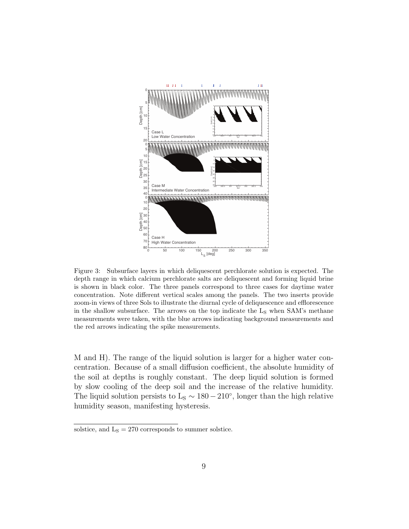

<span id="page-8-0"></span>Figure 3: Subsurface layers in which deliquescent perchlorate solution is expected. The depth range in which calcium perchlorate salts are deliquescent and forming liquid brine is shown in black color. The three panels correspond to three cases for daytime water concentration. Note different vertical scales among the panels. The two inserts provide zoom-in views of three Sols to illustrate the diurnal cycle of deliquescence and efflorescence in the shallow subsurface. The arrows on the top indicate the  $L<sub>S</sub>$  when SAM's methane measurements were taken, with the blue arrows indicating background measurements and the red arrows indicating the spike measurements.

M and H). The range of the liquid solution is larger for a higher water concentration. Because of a small diffusion coefficient, the absolute humidity of the soil at depths is roughly constant. The deep liquid solution is formed by slow cooling of the deep soil and the increase of the relative humidity. The liquid solution persists to  $L_S \sim 180-210^{\circ}$ , longer than the high relative humidity season, manifesting hysteresis.

solstice, and  $L<sub>S</sub> = 270$  corresponds to summer solstice.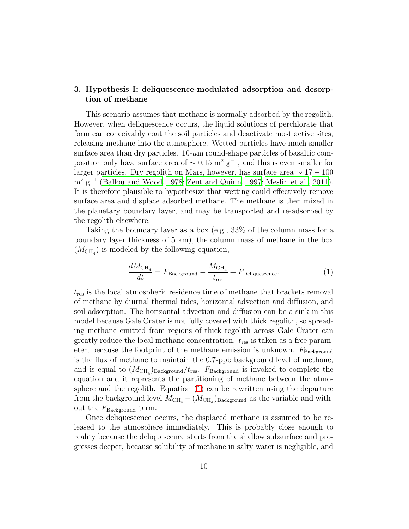# 3. Hypothesis I: deliquescence-modulated adsorption and desorption of methane

This scenario assumes that methane is normally adsorbed by the regolith. However, when deliquescence occurs, the liquid solutions of perchlorate that form can conceivably coat the soil particles and deactivate most active sites, releasing methane into the atmosphere. Wetted particles have much smaller surface area than dry particles.  $10-\mu m$  round-shape particles of basaltic composition only have surface area of  $\sim 0.15 \text{ m}^2 \text{ g}^{-1}$ , and this is even smaller for larger particles. Dry regolith on Mars, however, has surface area  $\sim 17 - 100$  $m^2$  g<sup>-1</sup> [\(Ballou and Wood](#page-19-3), [1978](#page-19-3); [Zent and Quinn](#page-29-0), [1997;](#page-29-0) [Meslin et al., 2011\)](#page-24-7). It is therefore plausible to hypothesize that wetting could effectively remove surface area and displace adsorbed methane. The methane is then mixed in the planetary boundary layer, and may be transported and re-adsorbed by the regolith elsewhere.

Taking the boundary layer as a box (e.g., 33% of the column mass for a boundary layer thickness of 5 km), the column mass of methane in the box  $(M<sub>CH<sub>4</sub></sub>)$  is modeled by the following equation,

<span id="page-9-0"></span>
$$
\frac{dM_{\text{CH}_4}}{dt} = F_{\text{Background}} - \frac{M_{\text{CH}_4}}{t_{\text{res}}} + F_{\text{Deliquescence}}.\tag{1}
$$

 $t_{\rm res}$  is the local atmospheric residence time of methane that brackets removal of methane by diurnal thermal tides, horizontal advection and diffusion, and soil adsorption. The horizontal advection and diffusion can be a sink in this model because Gale Crater is not fully covered with thick regolith, so spreading methane emitted from regions of thick regolith across Gale Crater can greatly reduce the local methane concentration.  $t_{res}$  is taken as a free parameter, because the footprint of the methane emission is unknown.  $F_{\text{Background}}$ is the flux of methane to maintain the 0.7-ppb background level of methane, and is equal to  $(M_{\text{CH}_4})_{\text{Background}}/t_{\text{res}}$ .  $F_{\text{Background}}$  is invoked to complete the equation and it represents the partitioning of methane between the atmosphere and the regolith. Equation [\(1\)](#page-9-0) can be rewritten using the departure from the background level  $M_{\text{CH}_4} - (M_{\text{CH}_4})_{\text{Background}}$  as the variable and without the  $F_{\text{Background}}$  term.

Once deliquescence occurs, the displaced methane is assumed to be released to the atmosphere immediately. This is probably close enough to reality because the deliquescence starts from the shallow subsurface and progresses deeper, because solubility of methane in salty water is negligible, and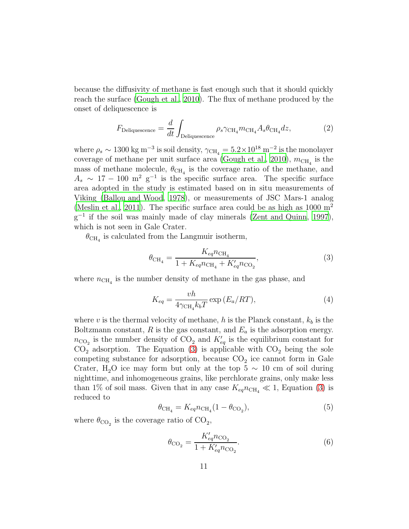because the diffusivity of methane is fast enough such that it should quickly reach the surface [\(Gough et al.](#page-22-5), [2010](#page-22-5)). The flux of methane produced by the onset of deliquescence is

<span id="page-10-2"></span>
$$
F_{\text{Deliquescence}} = \frac{d}{dt} \int_{\text{Deliquescence}} \rho_s \gamma_{\text{CH}_4} m_{\text{CH}_4} A_s \theta_{\text{CH}_4} dz, \tag{2}
$$

where  $\rho_s \sim 1300 \text{ kg m}^{-3}$  is soil density,  $\gamma_{\text{CH}_4} = 5.2 \times 10^{18} \text{ m}^{-2}$  is the monolayer coverage of methane per unit surface area [\(Gough et al., 2010](#page-22-5)),  $m_{\text{CH}_4}$  is the mass of methane molecule,  $\theta_{\text{CH}_4}$  is the coverage ratio of the methane, and  $A_s \sim 17 - 100 \text{ m}^2 \text{ g}^{-1}$  is the specific surface area. The specific surface area adopted in the study is estimated based on in situ measurements of Viking [\(Ballou and Wood](#page-19-3), [1978\)](#page-19-3), or measurements of JSC Mars-1 analog [\(Meslin et al., 2011\)](#page-24-7). The specific surface area could be as high as  $1000 \text{ m}^2$ g<sup>-1</sup> if the soil was mainly made of clay minerals [\(Zent and Quinn, 1997\)](#page-29-0), which is not seen in Gale Crater.

 $\theta_{\rm CH_4}$  is calculated from the Langmuir isotherm,

<span id="page-10-0"></span>
$$
\theta_{\rm CH_4} = \frac{K_{eq} n_{\rm CH_4}}{1 + K_{eq} n_{\rm CH_4} + K'_{eq} n_{\rm CO_2}},\tag{3}
$$

where  $n_{\text{CH}_4}$  is the number density of methane in the gas phase, and

$$
K_{eq} = \frac{vh}{4\gamma_{\text{CH}_4}k_bT} \exp\left(E_a/RT\right),\tag{4}
$$

where v is the thermal velocity of methane, h is the Planck constant,  $k_b$  is the Boltzmann constant,  $R$  is the gas constant, and  $E_a$  is the adsorption energy.  $n_{\text{CO}_2}$  is the number density of  $\text{CO}_2$  and  $K'_{eq}$  is the equilibrium constant for  $CO<sub>2</sub>$  adsorption. The Equation [\(3\)](#page-10-0) is applicable with  $CO<sub>2</sub>$  being the sole competing substance for adsorption, because  $CO<sub>2</sub>$  ice cannot form in Gale Crater, H<sub>2</sub>O ice may form but only at the top  $5 \sim 10$  cm of soil during nighttime, and inhomogeneous grains, like perchlorate grains, only make less than 1% of soil mass. Given that in any case  $K_{eq}n_{\text{CH}_4} \ll 1$ , Equation [\(3\)](#page-10-0) is reduced to

$$
\theta_{\rm CH_4} = K_{eq} n_{\rm CH_4} (1 - \theta_{\rm CO_2}),\tag{5}
$$

where  $\theta_{\text{CO}_2}$  is the coverage ratio of  $\text{CO}_2$ ,

<span id="page-10-1"></span>
$$
\theta_{\rm CO_2} = \frac{K'_{eq} n_{\rm CO_2}}{1 + K'_{eq} n_{\rm CO_2}}.\tag{6}
$$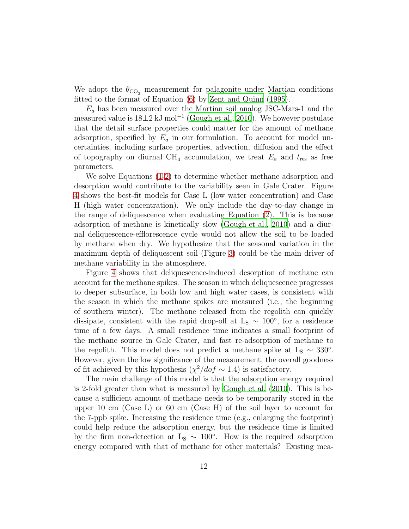We adopt the  $\theta_{\text{CO}_2}$  measurement for palagonite under Martian conditions fitted to the format of Equation [\(6\)](#page-10-1) by [Zent and Quinn \(1995](#page-28-4)).

 $E_a$  has been measured over the Martian soil analog JSC-Mars-1 and the measured value is  $18\pm2$  kJ mol<sup>-1</sup> [\(Gough et al., 2010\)](#page-22-5). We however postulate that the detail surface properties could matter for the amount of methane adsorption, specified by  $E_a$  in our formulation. To account for model uncertainties, including surface properties, advection, diffusion and the effect of topography on diurnal  $\text{CH}_4$  accumulation, we treat  $E_a$  and  $t_{\text{res}}$  as free parameters.

We solve Equations [\(1-](#page-9-0)[2\)](#page-10-2) to determine whether methane adsorption and desorption would contribute to the variability seen in Gale Crater. Figure [4](#page-12-0) shows the best-fit models for Case L (low water concentration) and Case H (high water concentration). We only include the day-to-day change in the range of deliquescence when evaluating Equation [\(2\)](#page-10-2). This is because adsorption of methane is kinetically slow [\(Gough et al., 2010](#page-22-5)) and a diurnal deliquescence-efflorescence cycle would not allow the soil to be loaded by methane when dry. We hypothesize that the seasonal variation in the maximum depth of deliquescent soil (Figure [3\)](#page-8-0) could be the main driver of methane variability in the atmosphere.

Figure [4](#page-12-0) shows that deliquescence-induced desorption of methane can account for the methane spikes. The season in which deliquescence progresses to deeper subsurface, in both low and high water cases, is consistent with the season in which the methane spikes are measured (i.e., the beginning of southern winter). The methane released from the regolith can quickly dissipate, consistent with the rapid drop-off at L<sub>S</sub>  $\sim 100^{\circ}$ , for a residence time of a few days. A small residence time indicates a small footprint of the methane source in Gale Crater, and fast re-adsorption of methane to the regolith. This model does not predict a methane spike at  $L_s \sim 330°$ . However, given the low significance of the measurement, the overall goodness of fit achieved by this hypothesis  $(\chi^2/dof \sim 1.4)$  is satisfactory.

The main challenge of this model is that the adsorption energy required is 2-fold greater than what is measured by [Gough et al. \(2010](#page-22-5)). This is because a sufficient amount of methane needs to be temporarily stored in the upper 10 cm (Case L) or 60 cm (Case H) of the soil layer to account for the 7-ppb spike. Increasing the residence time (e.g., enlarging the footprint) could help reduce the adsorption energy, but the residence time is limited by the firm non-detection at L<sub>S</sub>  $\sim 100^{\circ}$ . How is the required adsorption energy compared with that of methane for other materials? Existing mea-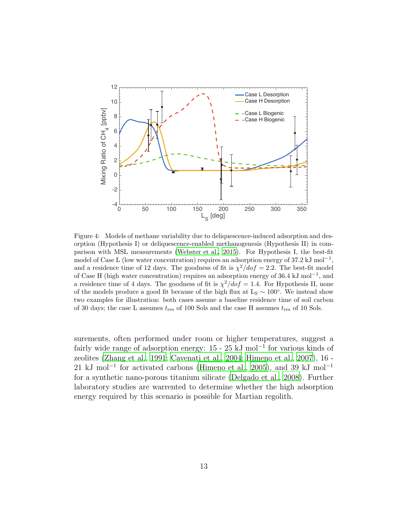

<span id="page-12-0"></span>Figure 4: Models of methane variability due to deliquescence-induced adsorption and desorption (Hypothesis I) or deliquescence-enabled methanogenesis (Hypothesis II) in comparison with MSL measurements [\(Webster et al., 2015\)](#page-28-1). For Hypothesis I, the best-fit model of Case L (low water concentration) requires an adsorption energy of 37.2 kJ mol<sup>−</sup><sup>1</sup> , and a residence time of 12 days. The goodness of fit is  $\chi^2/dof = 2.2$ . The best-fit model of Case H (high water concentration) requires an adsorption energy of 36.4 kJ mol<sup>−</sup><sup>1</sup> , and a residence time of 4 days. The goodness of fit is  $\chi^2/dof = 1.4$ . For Hypothesis II, none of the models produce a good fit because of the high flux at L<sub>S</sub>  $\sim 100^{\circ}$ . We instead show two examples for illustration: both cases assume a baseline residence time of soil carbon of 30 days; the case L assumes  $t_{res}$  of 100 Sols and the case H assumes  $t_{res}$  of 10 Sols.

surements, often performed under room or higher temperatures, suggest a fairly wide range of adsorption energy: 15 - 25 kJ mol<sup>-1</sup> for various kinds of zeolites [\(Zhang et al.](#page-29-1), [1991;](#page-29-1) [Cavenati et al., 2004;](#page-20-7) [Himeno et al., 2007](#page-23-6)), 16 - 21 kJ mol<sup>-1</sup> for activated carbons [\(Himeno et al., 2005](#page-23-7)), and 39 kJ mol<sup>-1</sup> for a synthetic nano-porous titanium silicate [\(Delgado et al.](#page-20-8), [2008\)](#page-20-8). Further laboratory studies are warrented to determine whether the high adsorption energy required by this scenario is possible for Martian regolith.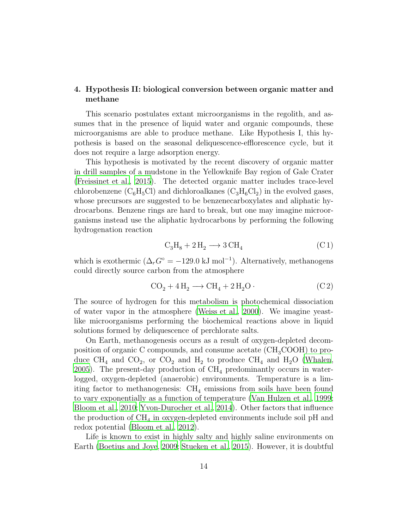# 4. Hypothesis II: biological conversion between organic matter and methane

This scenario postulates extant microorganisms in the regolith, and assumes that in the presence of liquid water and organic compounds, these microorganisms are able to produce methane. Like Hypothesis I, this hypothesis is based on the seasonal deliquescence-efflorescence cycle, but it does not require a large adsorption energy.

This hypothesis is motivated by the recent discovery of organic matter in drill samples of a mudstone in the Yellowknife Bay region of Gale Crater [\(Freissinet et al., 2015\)](#page-21-1). The detected organic matter includes trace-level chlorobenzene  $(C_6H_5Cl)$  and dichloroalkanes  $(C_3H_6Cl_2)$  in the evolved gases, whose precursors are suggested to be benzenecarboxylates and aliphatic hydrocarbons. Benzene rings are hard to break, but one may imagine microorganisms instead use the aliphatic hydrocarbons by performing the following hydrogenation reaction

<span id="page-13-1"></span><span id="page-13-0"></span>
$$
C_3H_8 + 2H_2 \longrightarrow 3CH_4 \tag{C.1}
$$

which is exothermic  $(\Delta_r G^{\circ} = -129.0 \text{ kJ mol}^{-1})$ . Alternatively, methanogens could directly source carbon from the atmosphere

$$
CO_2 + 4H_2 \longrightarrow CH_4 + 2H_2O \tag{C2}
$$

The source of hydrogen for this metabolism is photochemical dissociation of water vapor in the atmosphere [\(Weiss et al.](#page-28-2), [2000\)](#page-28-2). We imagine yeastlike microorganisms performing the biochemical reactions above in liquid solutions formed by deliquescence of perchlorate salts.

On Earth, methanogenesis occurs as a result of oxygen-depleted decomposition of organic C compounds, and consume acetate  $(\text{CH}_3\text{COOH})$  to produce  $\text{CH}_4$  and  $\text{CO}_2$ , or  $\text{CO}_2$  and  $\text{H}_2$  to produce  $\text{CH}_4$  and  $\text{H}_2\text{O}$  [\(Whalen](#page-28-5), [2005](#page-28-5)). The present-day production of  $\text{CH}_4$  predominantly occurs in waterlogged, oxygen-depleted (anaerobic) environments. Temperature is a limiting factor to methanogenesis:  $\text{CH}_4$  emissions from soils have been found to vary exponentially as a function of temperature [\(Van Hulzen et al., 1999](#page-27-5); [Bloom et al.](#page-19-4), [2010;](#page-19-4) [Yvon-Durocher et al., 2014\)](#page-28-6). Other factors that influence the production of  $\text{CH}_4$  in oxygen-depleted environments include soil pH and redox potential [\(Bloom et al., 2012\)](#page-19-5).

Life is known to exist in highly salty and highly saline environments on Earth [\(Boetius and Joye, 2009;](#page-19-6) [Stueken et al.](#page-27-6), [2015\)](#page-27-6). However, it is doubtful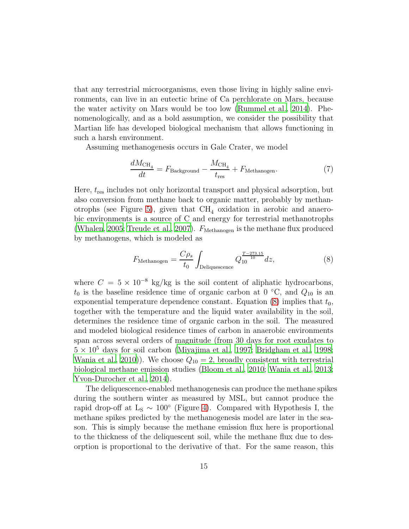that any terrestrial microorganisms, even those living in highly saline environments, can live in an eutectic brine of Ca perchlorate on Mars, because the water activity on Mars would be too low [\(Rummel et al., 2014](#page-25-5)). Phenomenologically, and as a bold assumption, we consider the possibility that Martian life has developed biological mechanism that allows functioning in such a harsh environment.

Assuming methanogenesis occurs in Gale Crater, we model

$$
\frac{dM_{\text{CH}_4}}{dt} = F_{\text{Background}} - \frac{M_{\text{CH}_4}}{t_{\text{res}}} + F_{\text{Method}}.\tag{7}
$$

Here,  $t_{\text{res}}$  includes not only horizontal transport and physical adsorption, but also conversion from methane back to organic matter, probably by methan-otrophs (see Figure [5\)](#page-15-0), given that  $\text{CH}_4$  oxidation in aerobic and anaerobic environments is a source of C and energy for terrestrial methanotrophs [\(Whalen, 2005](#page-28-5); [Treude et al., 2007](#page-27-7)).  $F_{\text{Method}}$  is the methane flux produced by methanogens, which is modeled as

<span id="page-14-0"></span>
$$
F_{\text{Method}} = \frac{C\rho_s}{t_0} \int_{\text{Deliquescence}} Q_{10}^{\frac{T-273.15}{10}} dz,
$$
 (8)

where  $C = 5 \times 10^{-8}$  kg/kg is the soil content of aliphatic hydrocarbons,  $t_0$  is the baseline residence time of organic carbon at 0 °C, and  $Q_{10}$  is an exponential temperature dependence constant. Equation  $(8)$  implies that  $t_0$ , together with the temperature and the liquid water availability in the soil, determines the residence time of organic carbon in the soil. The measured and modeled biological residence times of carbon in anaerobic environments span across several orders of magnitude (from 30 days for root exudates to  $5 \times 10^5$  days for soil carbon [\(Miyajima et al., 1997](#page-25-6); [Bridgham et al., 1998](#page-19-7); [Wania et al.](#page-28-7), [2010\)](#page-28-7)). We choose  $Q_{10} = 2$ , broadly consistent with terrestrial biological methane emission studies [\(Bloom et al., 2010;](#page-19-4) [Wania et al.](#page-27-8), [2013](#page-27-8); [Yvon-Durocher et al., 2014\)](#page-28-6).

The deliquescence-enabled methanogenesis can produce the methane spikes during the southern winter as measured by MSL, but cannot produce the rapid drop-off at  $L_S \sim 100^\circ$  (Figure [4\)](#page-12-0). Compared with Hypothesis I, the methane spikes predicted by the methanogenesis model are later in the season. This is simply because the methane emission flux here is proportional to the thickness of the deliquescent soil, while the methane flux due to desorption is proportional to the derivative of that. For the same reason, this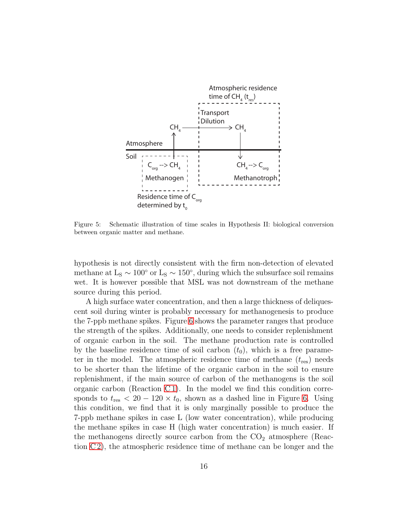

<span id="page-15-0"></span>Figure 5: Schematic illustration of time scales in Hypothesis II: biological conversion between organic matter and methane.

hypothesis is not directly consistent with the firm non-detection of elevated methane at  $L_s \sim 100^\circ$  or  $L_s \sim 150^\circ$ , during which the subsurface soil remains wet. It is however possible that MSL was not downstream of the methane source during this period.

A high surface water concentration, and then a large thickness of deliquescent soil during winter is probably necessary for methanogenesis to produce the 7-ppb methane spikes. Figure [6](#page-16-0) shows the parameter ranges that produce the strength of the spikes. Additionally, one needs to consider replenishment of organic carbon in the soil. The methane production rate is controlled by the baseline residence time of soil carbon  $(t_0)$ , which is a free parameter in the model. The atmospheric residence time of methane  $(t_{res})$  needs to be shorter than the lifetime of the organic carbon in the soil to ensure replenishment, if the main source of carbon of the methanogens is the soil organic carbon (Reaction [C 1\)](#page-13-0). In the model we find this condition corresponds to  $t_{\text{res}} < 20 - 120 \times t_0$ , shown as a dashed line in Figure [6.](#page-16-0) Using this condition, we find that it is only marginally possible to produce the 7-ppb methane spikes in case L (low water concentration), while producing the methane spikes in case H (high water concentration) is much easier. If the methanogens directly source carbon from the  $CO<sub>2</sub>$  atmosphere (Reaction [C 2\)](#page-13-1), the atmospheric residence time of methane can be longer and the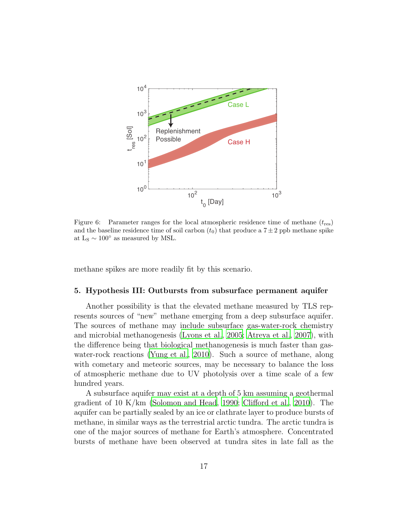

<span id="page-16-0"></span>Figure 6: Parameter ranges for the local atmospheric residence time of methane  $(t_{res})$ and the baseline residence time of soil carbon  $(t_0)$  that produce a  $7\pm 2$  ppb methane spike at L<sub>S</sub>  $\sim 100^{\circ}$  as measured by MSL.

methane spikes are more readily fit by this scenario.

## 5. Hypothesis III: Outbursts from subsurface permanent aquifer

Another possibility is that the elevated methane measured by TLS represents sources of "new" methane emerging from a deep subsurface aquifer. The sources of methane may include subsurface gas-water-rock chemistry and microbial methanogenesis [\(Lyons et al., 2005](#page-24-0); [Atreya et al., 2007](#page-19-0)), with the difference being that biological methanogenesis is much faster than gaswater-rock reactions [\(Yung et al.](#page-28-8), [2010\)](#page-28-8). Such a source of methane, along with cometary and meteoric sources, may be necessary to balance the loss of atmospheric methane due to UV photolysis over a time scale of a few hundred years.

A subsurface aquifer may exist at a depth of 5 km assuming a geothermal gradient of 10 K/km [\(Solomon and Head, 1990](#page-26-7); [Clifford et al., 2010\)](#page-20-9). The aquifer can be partially sealed by an ice or clathrate layer to produce bursts of methane, in similar ways as the terrestrial arctic tundra. The arctic tundra is one of the major sources of methane for Earth's atmosphere. Concentrated bursts of methane have been observed at tundra sites in late fall as the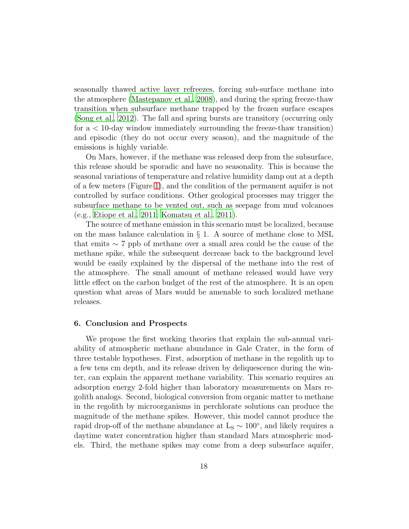seasonally thawed active layer refreezes, forcing sub-surface methane into the atmosphere [\(Mastepanov et al.](#page-24-8), [2008](#page-24-8)), and during the spring freeze-thaw transition when subsurface methane trapped by the frozen surface escapes [\(Song et al.](#page-26-8), [2012](#page-26-8)). The fall and spring bursts are transitory (occurring only for a < 10-day window immediately surrounding the freeze-thaw transition) and episodic (they do not occur every season), and the magnitude of the emissions is highly variable.

On Mars, however, if the methane was released deep from the subsurface, this release should be sporadic and have no seasonality. This is because the seasonal variations of temperature and relative humidity damp out at a depth of a few meters (Figure [1\)](#page-5-0), and the condition of the permanent aquifer is not controlled by surface conditions. Other geological processes may trigger the subsurface methane to be vented out, such as seepage from mud volcanoes (e.g., [Etiope et al., 2011](#page-20-10); [Komatsu et al., 2011](#page-23-8)).

The source of methane emission in this scenario must be localized, because on the mass balance calculation in  $\S$  1. A source of methane close to MSL that emits ∼ 7 ppb of methane over a small area could be the cause of the methane spike, while the subsequent decrease back to the background level would be easily explained by the dispersal of the methane into the rest of the atmosphere. The small amount of methane released would have very little effect on the carbon budget of the rest of the atmosphere. It is an open question what areas of Mars would be amenable to such localized methane releases.

#### 6. Conclusion and Prospects

We propose the first working theories that explain the sub-annual variability of atmospheric methane abundance in Gale Crater, in the form of three testable hypotheses. First, adsorption of methane in the regolith up to a few tens cm depth, and its release driven by deliquescence during the winter, can explain the apparent methane variability. This scenario requires an adsorption energy 2-fold higher than laboratory measurements on Mars regolith analogs. Second, biological conversion from organic matter to methane in the regolith by microorganisms in perchlorate solutions can produce the magnitude of the methane spikes. However, this model cannot produce the rapid drop-off of the methane abundance at  $L<sub>S</sub> \sim 100<sup>°</sup>$ , and likely requires a daytime water concentration higher than standard Mars atmospheric models. Third, the methane spikes may come from a deep subsurface aquifer,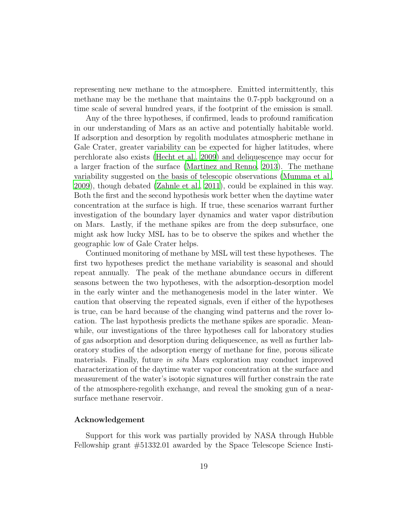representing new methane to the atmosphere. Emitted intermittently, this methane may be the methane that maintains the 0.7-ppb background on a time scale of several hundred years, if the footprint of the emission is small.

Any of the three hypotheses, if confirmed, leads to profound ramification in our understanding of Mars as an active and potentially habitable world. If adsorption and desorption by regolith modulates atmospheric methane in Gale Crater, greater variability can be expected for higher latitudes, where perchlorate also exists [\(Hecht et al., 2009\)](#page-22-3) and deliquescence may occur for a larger fraction of the surface [\(Martinez and Renno](#page-24-4), [2013\)](#page-24-4). The methane variability suggested on the basis of telescopic observations [\(Mumma et al.](#page-25-0), [2009](#page-25-0)), though debated [\(Zahnle et al., 2011\)](#page-28-0), could be explained in this way. Both the first and the second hypothesis work better when the daytime water concentration at the surface is high. If true, these scenarios warrant further investigation of the boundary layer dynamics and water vapor distribution on Mars. Lastly, if the methane spikes are from the deep subsurface, one might ask how lucky MSL has to be to observe the spikes and whether the geographic low of Gale Crater helps.

Continued monitoring of methane by MSL will test these hypotheses. The first two hypotheses predict the methane variability is seasonal and should repeat annually. The peak of the methane abundance occurs in different seasons between the two hypotheses, with the adsorption-desorption model in the early winter and the methanogenesis model in the later winter. We caution that observing the repeated signals, even if either of the hypotheses is true, can be hard because of the changing wind patterns and the rover location. The last hypothesis predicts the methane spikes are sporadic. Meanwhile, our investigations of the three hypotheses call for laboratory studies of gas adsorption and desorption during deliquescence, as well as further laboratory studies of the adsorption energy of methane for fine, porous silicate materials. Finally, future in situ Mars exploration may conduct improved characterization of the daytime water vapor concentration at the surface and measurement of the water's isotopic signatures will further constrain the rate of the atmosphere-regolith exchange, and reveal the smoking gun of a nearsurface methane reservoir.

## Acknowledgement

Support for this work was partially provided by NASA through Hubble Fellowship grant #51332.01 awarded by the Space Telescope Science Insti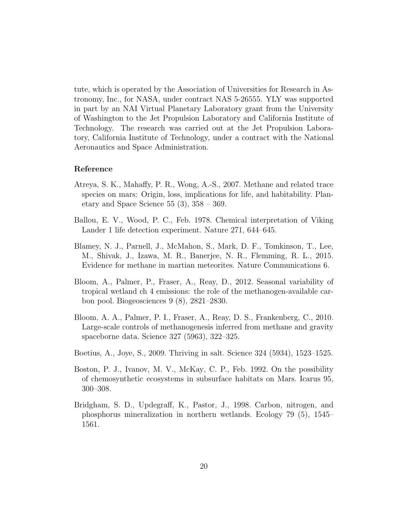tute, which is operated by the Association of Universities for Research in Astronomy, Inc., for NASA, under contract NAS 5-26555. YLY was supported in part by an NAI Virtual Planetary Laboratory grant from the University of Washington to the Jet Propulsion Laboratory and California Institute of Technology. The research was carried out at the Jet Propulsion Laboratory, California Institute of Technology, under a contract with the National Aeronautics and Space Administration.

## Reference

- <span id="page-19-0"></span>Atreya, S. K., Mahaffy, P. R., Wong, A.-S., 2007. Methane and related trace species on mars: Origin, loss, implications for life, and habitability. Planetary and Space Science 55  $(3)$ ,  $358 - 369$ .
- <span id="page-19-3"></span>Ballou, E. V., Wood, P. C., Feb. 1978. Chemical interpretation of Viking Lander 1 life detection experiment. Nature 271, 644–645.
- <span id="page-19-1"></span>Blamey, N. J., Parnell, J., McMahon, S., Mark, D. F., Tomkinson, T., Lee, M., Shivak, J., Izawa, M. R., Banerjee, N. R., Flemming, R. L., 2015. Evidence for methane in martian meteorites. Nature Communications 6.
- <span id="page-19-5"></span>Bloom, A., Palmer, P., Fraser, A., Reay, D., 2012. Seasonal variability of tropical wetland ch 4 emissions: the role of the methanogen-available carbon pool. Biogeosciences 9 (8), 2821–2830.
- <span id="page-19-4"></span>Bloom, A. A., Palmer, P. I., Fraser, A., Reay, D. S., Frankenberg, C., 2010. Large-scale controls of methanogenesis inferred from methane and gravity spaceborne data. Science 327 (5963), 322–325.
- <span id="page-19-6"></span>Boetius, A., Joye, S., 2009. Thriving in salt. Science 324 (5934), 1523–1525.
- <span id="page-19-2"></span>Boston, P. J., Ivanov, M. V., McKay, C. P., Feb. 1992. On the possibility of chemosynthetic ecosystems in subsurface habitats on Mars. Icarus 95, 300–308.
- <span id="page-19-7"></span>Bridgham, S. D., Updegraff, K., Pastor, J., 1998. Carbon, nitrogen, and phosphorus mineralization in northern wetlands. Ecology 79 (5), 1545– 1561.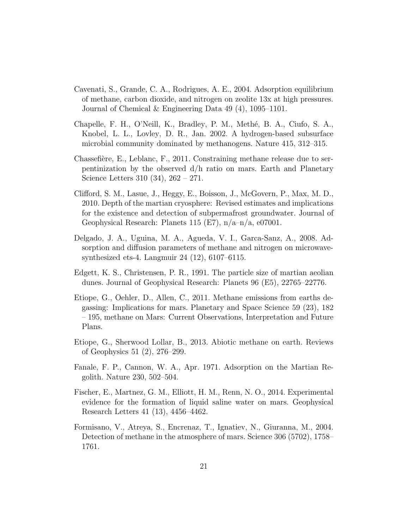- <span id="page-20-7"></span>Cavenati, S., Grande, C. A., Rodrigues, A. E., 2004. Adsorption equilibrium of methane, carbon dioxide, and nitrogen on zeolite 13x at high pressures. Journal of Chemical & Engineering Data 49 (4), 1095–1101.
- <span id="page-20-2"></span>Chapelle, F. H., O'Neill, K., Bradley, P. M., Methé, B. A., Ciufo, S. A., Knobel, L. L., Lovley, D. R., Jan. 2002. A hydrogen-based subsurface microbial community dominated by methanogens. Nature 415, 312–315.
- <span id="page-20-1"></span>Chassefière, E., Leblanc, F., 2011. Constraining methane release due to serpentinization by the observed d/h ratio on mars. Earth and Planetary Science Letters 310 (34), 262 – 271.
- <span id="page-20-9"></span>Clifford, S. M., Lasue, J., Heggy, E., Boisson, J., McGovern, P., Max, M. D., 2010. Depth of the martian cryosphere: Revised estimates and implications for the existence and detection of subpermafrost groundwater. Journal of Geophysical Research: Planets 115 (E7), n/a–n/a, e07001.
- <span id="page-20-8"></span>Delgado, J. A., Uguina, M. A., Agueda, V. I., Garca-Sanz, A., 2008. Adsorption and diffusion parameters of methane and nitrogen on microwavesynthesized ets-4. Langmuir 24 (12), 6107–6115.
- <span id="page-20-5"></span>Edgett, K. S., Christensen, P. R., 1991. The particle size of martian aeolian dunes. Journal of Geophysical Research: Planets 96 (E5), 22765–22776.
- <span id="page-20-10"></span>Etiope, G., Oehler, D., Allen, C., 2011. Methane emissions from earths degassing: Implications for mars. Planetary and Space Science 59 (23), 182 – 195, methane on Mars: Current Observations, Interpretation and Future Plans.
- <span id="page-20-3"></span>Etiope, G., Sherwood Lollar, B., 2013. Abiotic methane on earth. Reviews of Geophysics 51 (2), 276–299.
- <span id="page-20-6"></span>Fanale, F. P., Cannon, W. A., Apr. 1971. Adsorption on the Martian Regolith. Nature 230, 502–504.
- <span id="page-20-4"></span>Fischer, E., Martnez, G. M., Elliott, H. M., Renn, N. O., 2014. Experimental evidence for the formation of liquid saline water on mars. Geophysical Research Letters 41 (13), 4456–4462.
- <span id="page-20-0"></span>Formisano, V., Atreya, S., Encrenaz, T., Ignatiev, N., Giuranna, M., 2004. Detection of methane in the atmosphere of mars. Science 306 (5702), 1758– 1761.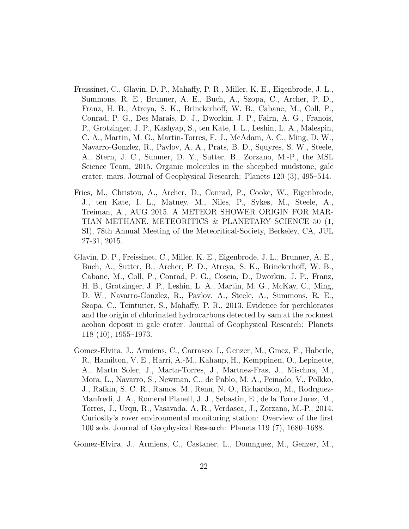- <span id="page-21-1"></span>Freissinet, C., Glavin, D. P., Mahaffy, P. R., Miller, K. E., Eigenbrode, J. L., Summons, R. E., Brunner, A. E., Buch, A., Szopa, C., Archer, P. D., Franz, H. B., Atreya, S. K., Brinckerhoff, W. B., Cabane, M., Coll, P., Conrad, P. G., Des Marais, D. J., Dworkin, J. P., Fairn, A. G., Franois, P., Grotzinger, J. P., Kashyap, S., ten Kate, I. L., Leshin, L. A., Malespin, C. A., Martin, M. G., Martin-Torres, F. J., McAdam, A. C., Ming, D. W., Navarro-Gonzlez, R., Pavlov, A. A., Prats, B. D., Squyres, S. W., Steele, A., Stern, J. C., Sumner, D. Y., Sutter, B., Zorzano, M.-P., the MSL Science Team, 2015. Organic molecules in the sheepbed mudstone, gale crater, mars. Journal of Geophysical Research: Planets 120 (3), 495–514.
- <span id="page-21-0"></span>Fries, M., Christou, A., Archer, D., Conrad, P., Cooke, W., Eigenbrode, J., ten Kate, I. L., Matney, M., Niles, P., Sykes, M., Steele, A., Treiman, A., AUG 2015. A METEOR SHOWER ORIGIN FOR MAR-TIAN METHANE. METEORITICS & PLANETARY SCIENCE 50 (1, SI), 78th Annual Meeting of the Meteoritical-Society, Berkeley, CA, JUL 27-31, 2015.
- <span id="page-21-4"></span>Glavin, D. P., Freissinet, C., Miller, K. E., Eigenbrode, J. L., Brunner, A. E., Buch, A., Sutter, B., Archer, P. D., Atreya, S. K., Brinckerhoff, W. B., Cabane, M., Coll, P., Conrad, P. G., Coscia, D., Dworkin, J. P., Franz, H. B., Grotzinger, J. P., Leshin, L. A., Martin, M. G., McKay, C., Ming, D. W., Navarro-Gonzlez, R., Pavlov, A., Steele, A., Summons, R. E., Szopa, C., Teinturier, S., Mahaffy, P. R., 2013. Evidence for perchlorates and the origin of chlorinated hydrocarbons detected by sam at the rocknest aeolian deposit in gale crater. Journal of Geophysical Research: Planets 118 (10), 1955–1973.
- <span id="page-21-3"></span>Gomez-Elvira, J., Armiens, C., Carrasco, I., Genzer, M., Gmez, F., Haberle, R., Hamilton, V. E., Harri, A.-M., Kahanp, H., Kemppinen, O., Lepinette, A., Martn Soler, J., Martn-Torres, J., Martnez-Fras, J., Mischna, M., Mora, L., Navarro, S., Newman, C., de Pablo, M. A., Peinado, V., Polkko, J., Rafkin, S. C. R., Ramos, M., Renn, N. O., Richardson, M., Rodrguez-Manfredi, J. A., Romeral Planell, J. J., Sebastin, E., de la Torre Jurez, M., Torres, J., Urqu, R., Vasavada, A. R., Verdasca, J., Zorzano, M.-P., 2014. Curiosity's rover environmental monitoring station: Overview of the first 100 sols. Journal of Geophysical Research: Planets 119 (7), 1680–1688.

<span id="page-21-2"></span>Gomez-Elvira, J., Armiens, C., Castaner, L., Domnguez, M., Genzer, M.,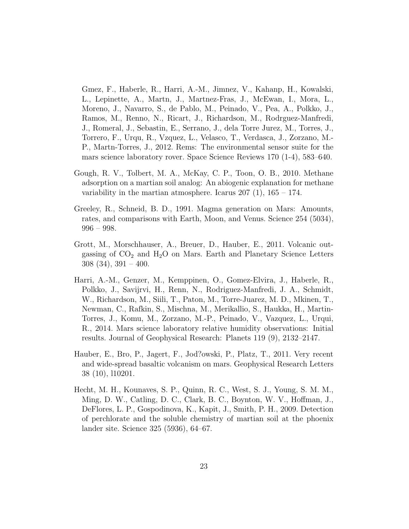Gmez, F., Haberle, R., Harri, A.-M., Jimnez, V., Kahanp, H., Kowalski, L., Lepinette, A., Martn, J., Martnez-Fras, J., McEwan, I., Mora, L., Moreno, J., Navarro, S., de Pablo, M., Peinado, V., Pea, A., Polkko, J., Ramos, M., Renno, N., Ricart, J., Richardson, M., Rodrguez-Manfredi, J., Romeral, J., Sebastin, E., Serrano, J., dela Torre Jurez, M., Torres, J., Torrero, F., Urqu, R., Vzquez, L., Velasco, T., Verdasca, J., Zorzano, M.- P., Martn-Torres, J., 2012. Rems: The environmental sensor suite for the mars science laboratory rover. Space Science Reviews 170 (1-4), 583–640.

- <span id="page-22-5"></span>Gough, R. V., Tolbert, M. A., McKay, C. P., Toon, O. B., 2010. Methane adsorption on a martian soil analog: An abiogenic explanation for methane variability in the martian atmosphere. Icarus  $207(1)$ ,  $165 - 174$ .
- <span id="page-22-1"></span>Greeley, R., Schneid, B. D., 1991. Magma generation on Mars: Amounts, rates, and comparisons with Earth, Moon, and Venus. Science 254 (5034), 996 – 998.
- <span id="page-22-2"></span>Grott, M., Morschhauser, A., Breuer, D., Hauber, E., 2011. Volcanic outgassing of  $CO<sub>2</sub>$  and  $H<sub>2</sub>O$  on Mars. Earth and Planetary Science Letters  $308$   $(34)$ ,  $391 - 400$ .
- <span id="page-22-4"></span>Harri, A.-M., Genzer, M., Kemppinen, O., Gomez-Elvira, J., Haberle, R., Polkko, J., Savijrvi, H., Renn, N., Rodriguez-Manfredi, J. A., Schmidt, W., Richardson, M., Siili, T., Paton, M., Torre-Juarez, M. D., Mkinen, T., Newman, C., Rafkin, S., Mischna, M., Merikallio, S., Haukka, H., Martin-Torres, J., Komu, M., Zorzano, M.-P., Peinado, V., Vazquez, L., Urqui, R., 2014. Mars science laboratory relative humidity observations: Initial results. Journal of Geophysical Research: Planets 119 (9), 2132–2147.
- <span id="page-22-0"></span>Hauber, E., Bro, P., Jagert, F., Jod?owski, P., Platz, T., 2011. Very recent and wide-spread basaltic volcanism on mars. Geophysical Research Letters 38 (10), l10201.
- <span id="page-22-3"></span>Hecht, M. H., Kounaves, S. P., Quinn, R. C., West, S. J., Young, S. M. M., Ming, D. W., Catling, D. C., Clark, B. C., Boynton, W. V., Hoffman, J., DeFlores, L. P., Gospodinova, K., Kapit, J., Smith, P. H., 2009. Detection of perchlorate and the soluble chemistry of martian soil at the phoenix lander site. Science 325 (5936), 64–67.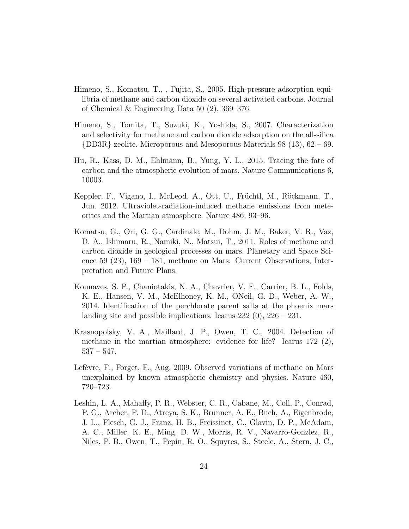- <span id="page-23-7"></span>Himeno, S., Komatsu, T., , Fujita, S., 2005. High-pressure adsorption equilibria of methane and carbon dioxide on several activated carbons. Journal of Chemical & Engineering Data 50 (2), 369–376.
- <span id="page-23-6"></span>Himeno, S., Tomita, T., Suzuki, K., Yoshida, S., 2007. Characterization and selectivity for methane and carbon dioxide adsorption on the all-silica {DD3R} zeolite. Microporous and Mesoporous Materials 98 (13), 62 – 69.
- <span id="page-23-3"></span>Hu, R., Kass, D. M., Ehlmann, B., Yung, Y. L., 2015. Tracing the fate of carbon and the atmospheric evolution of mars. Nature Communications 6, 10003.
- <span id="page-23-1"></span>Keppler, F., Vigano, I., McLeod, A., Ott, U., Früchtl, M., Röckmann, T., Jun. 2012. Ultraviolet-radiation-induced methane emissions from meteorites and the Martian atmosphere. Nature 486, 93–96.
- <span id="page-23-8"></span>Komatsu, G., Ori, G. G., Cardinale, M., Dohm, J. M., Baker, V. R., Vaz, D. A., Ishimaru, R., Namiki, N., Matsui, T., 2011. Roles of methane and carbon dioxide in geological processes on mars. Planetary and Space Science 59 (23), 169 – 181, methane on Mars: Current Observations, Interpretation and Future Plans.
- <span id="page-23-5"></span>Kounaves, S. P., Chaniotakis, N. A., Chevrier, V. F., Carrier, B. L., Folds, K. E., Hansen, V. M., McElhoney, K. M., ONeil, G. D., Weber, A. W., 2014. Identification of the perchlorate parent salts at the phoenix mars landing site and possible implications. Icarus  $232(0)$ ,  $226 - 231$ .
- <span id="page-23-0"></span>Krasnopolsky, V. A., Maillard, J. P., Owen, T. C., 2004. Detection of methane in the martian atmosphere: evidence for life? Icarus 172 (2), 537 – 547.
- <span id="page-23-2"></span>Lefèvre, F., Forget, F., Aug. 2009. Observed variations of methane on Mars unexplained by known atmospheric chemistry and physics. Nature 460, 720–723.
- <span id="page-23-4"></span>Leshin, L. A., Mahaffy, P. R., Webster, C. R., Cabane, M., Coll, P., Conrad, P. G., Archer, P. D., Atreya, S. K., Brunner, A. E., Buch, A., Eigenbrode, J. L., Flesch, G. J., Franz, H. B., Freissinet, C., Glavin, D. P., McAdam, A. C., Miller, K. E., Ming, D. W., Morris, R. V., Navarro-Gonzlez, R., Niles, P. B., Owen, T., Pepin, R. O., Squyres, S., Steele, A., Stern, J. C.,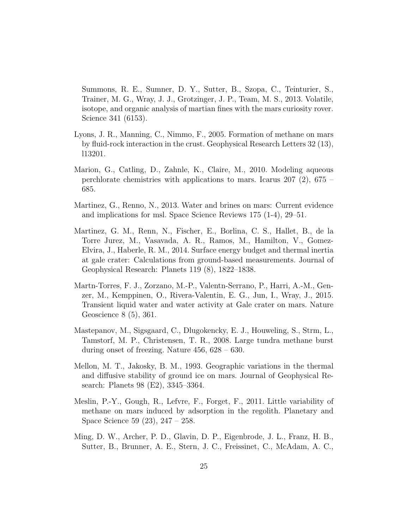Summons, R. E., Sumner, D. Y., Sutter, B., Szopa, C., Teinturier, S., Trainer, M. G., Wray, J. J., Grotzinger, J. P., Team, M. S., 2013. Volatile, isotope, and organic analysis of martian fines with the mars curiosity rover. Science 341 (6153).

- <span id="page-24-0"></span>Lyons, J. R., Manning, C., Nimmo, F., 2005. Formation of methane on mars by fluid-rock interaction in the crust. Geophysical Research Letters 32 (13), l13201.
- <span id="page-24-3"></span>Marion, G., Catling, D., Zahnle, K., Claire, M., 2010. Modeling aqueous perchlorate chemistries with applications to mars. Icarus  $207$  (2),  $675$  – 685.
- <span id="page-24-4"></span>Martinez, G., Renno, N., 2013. Water and brines on mars: Current evidence and implications for msl. Space Science Reviews 175 (1-4), 29–51.
- <span id="page-24-5"></span>Martinez, G. M., Renn, N., Fischer, E., Borlina, C. S., Hallet, B., de la Torre Jurez, M., Vasavada, A. R., Ramos, M., Hamilton, V., Gomez-Elvira, J., Haberle, R. M., 2014. Surface energy budget and thermal inertia at gale crater: Calculations from ground-based measurements. Journal of Geophysical Research: Planets 119 (8), 1822–1838.
- <span id="page-24-1"></span>Martn-Torres, F. J., Zorzano, M.-P., Valentn-Serrano, P., Harri, A.-M., Genzer, M., Kemppinen, O., Rivera-Valentin, E. G., Jun, I., Wray, J., 2015. Transient liquid water and water activity at Gale crater on mars. Nature Geoscience 8 (5), 361.
- <span id="page-24-8"></span>Mastepanov, M., Sigsgaard, C., Dlugokencky, E. J., Houweling, S., Strm, L., Tamstorf, M. P., Christensen, T. R., 2008. Large tundra methane burst during onset of freezing. Nature 456, 628 – 630.
- <span id="page-24-6"></span>Mellon, M. T., Jakosky, B. M., 1993. Geographic variations in the thermal and diffusive stability of ground ice on mars. Journal of Geophysical Research: Planets 98 (E2), 3345–3364.
- <span id="page-24-7"></span>Meslin, P.-Y., Gough, R., Lefvre, F., Forget, F., 2011. Little variability of methane on mars induced by adsorption in the regolith. Planetary and Space Science 59 (23), 247 – 258.
- <span id="page-24-2"></span>Ming, D. W., Archer, P. D., Glavin, D. P., Eigenbrode, J. L., Franz, H. B., Sutter, B., Brunner, A. E., Stern, J. C., Freissinet, C., McAdam, A. C.,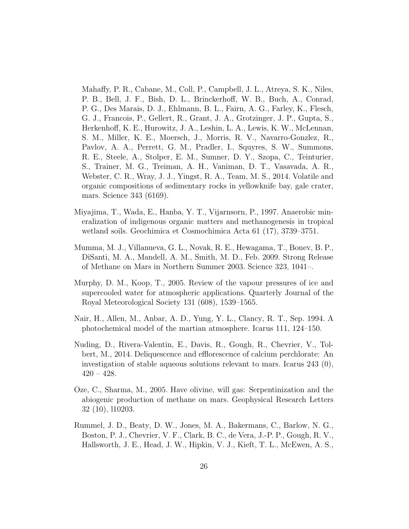Mahaffy, P. R., Cabane, M., Coll, P., Campbell, J. L., Atreya, S. K., Niles, P. B., Bell, J. F., Bish, D. L., Brinckerhoff, W. B., Buch, A., Conrad, P. G., Des Marais, D. J., Ehlmann, B. L., Fairn, A. G., Farley, K., Flesch, G. J., Francois, P., Gellert, R., Grant, J. A., Grotzinger, J. P., Gupta, S., Herkenhoff, K. E., Hurowitz, J. A., Leshin, L. A., Lewis, K. W., McLennan, S. M., Miller, K. E., Moersch, J., Morris, R. V., Navarro-Gonzlez, R., Pavlov, A. A., Perrett, G. M., Pradler, I., Squyres, S. W., Summons, R. E., Steele, A., Stolper, E. M., Sumner, D. Y., Szopa, C., Teinturier, S., Trainer, M. G., Treiman, A. H., Vaniman, D. T., Vasavada, A. R., Webster, C. R., Wray, J. J., Yingst, R. A., Team, M. S., 2014. Volatile and organic compositions of sedimentary rocks in yellowknife bay, gale crater, mars. Science 343 (6169).

- <span id="page-25-6"></span>Miyajima, T., Wada, E., Hanba, Y. T., Vijarnsorn, P., 1997. Anaerobic mineralization of indigenous organic matters and methanogenesis in tropical wetland soils. Geochimica et Cosmochimica Acta 61 (17), 3739–3751.
- <span id="page-25-0"></span>Mumma, M. J., Villanueva, G. L., Novak, R. E., Hewagama, T., Bonev, B. P., DiSanti, M. A., Mandell, A. M., Smith, M. D., Feb. 2009. Strong Release of Methane on Mars in Northern Summer 2003. Science 323, 1041–.
- <span id="page-25-4"></span>Murphy, D. M., Koop, T., 2005. Review of the vapour pressures of ice and supercooled water for atmospheric applications. Quarterly Journal of the Royal Meteorological Society 131 (608), 1539–1565.
- <span id="page-25-1"></span>Nair, H., Allen, M., Anbar, A. D., Yung, Y. L., Clancy, R. T., Sep. 1994. A photochemical model of the martian atmosphere. Icarus 111, 124–150.
- <span id="page-25-3"></span>Nuding, D., Rivera-Valentin, E., Davis, R., Gough, R., Chevrier, V., Tolbert, M., 2014. Deliquescence and efflorescence of calcium perchlorate: An investigation of stable aqueous solutions relevant to mars. Icarus 243 (0),  $420 - 428.$
- <span id="page-25-2"></span>Oze, C., Sharma, M., 2005. Have olivine, will gas: Serpentinization and the abiogenic production of methane on mars. Geophysical Research Letters 32 (10), l10203.
- <span id="page-25-5"></span>Rummel, J. D., Beaty, D. W., Jones, M. A., Bakermans, C., Barlow, N. G., Boston, P. J., Chevrier, V. F., Clark, B. C., de Vera, J.-P. P., Gough, R. V., Hallsworth, J. E., Head, J. W., Hipkin, V. J., Kieft, T. L., McEwen, A. S.,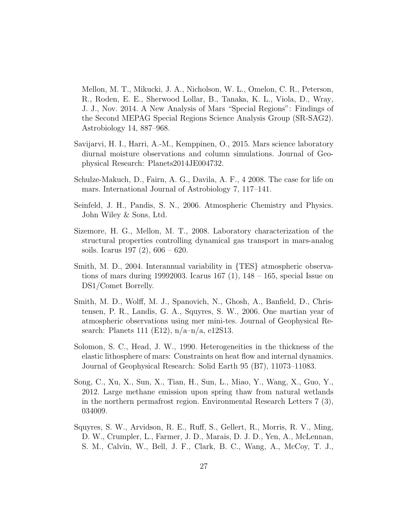Mellon, M. T., Mikucki, J. A., Nicholson, W. L., Omelon, C. R., Peterson, R., Roden, E. E., Sherwood Lollar, B., Tanaka, K. L., Viola, D., Wray, J. J., Nov. 2014. A New Analysis of Mars "Special Regions": Findings of the Second MEPAG Special Regions Science Analysis Group (SR-SAG2). Astrobiology 14, 887–968.

- <span id="page-26-5"></span>Savijarvi, H. I., Harri, A.-M., Kemppinen, O., 2015. Mars science laboratory diurnal moisture observations and column simulations. Journal of Geophysical Research: Planets2014JE004732.
- <span id="page-26-1"></span>Schulze-Makuch, D., Fairn, A. G., Davila, A. F., 4 2008. The case for life on mars. International Journal of Astrobiology 7, 117–141.
- <span id="page-26-0"></span>Seinfeld, J. H., Pandis, S. N., 2006. Atmospheric Chemistry and Physics. John Wiley & Sons, Ltd.
- <span id="page-26-6"></span>Sizemore, H. G., Mellon, M. T., 2008. Laboratory characterization of the structural properties controlling dynamical gas transport in mars-analog soils. Icarus 197 (2), 606 – 620.
- <span id="page-26-4"></span>Smith, M. D., 2004. Interannual variability in {TES} atmospheric observations of mars during 19992003. Icarus  $167$  (1),  $148 - 165$ , special Issue on DS1/Comet Borrelly.
- <span id="page-26-3"></span>Smith, M. D., Wolff, M. J., Spanovich, N., Ghosh, A., Banfield, D., Christensen, P. R., Landis, G. A., Squyres, S. W., 2006. One martian year of atmospheric observations using mer mini-tes. Journal of Geophysical Research: Planets 111 (E12), n/a–n/a, e12S13.
- <span id="page-26-7"></span>Solomon, S. C., Head, J. W., 1990. Heterogeneities in the thickness of the elastic lithosphere of mars: Constraints on heat flow and internal dynamics. Journal of Geophysical Research: Solid Earth 95 (B7), 11073–11083.
- <span id="page-26-8"></span>Song, C., Xu, X., Sun, X., Tian, H., Sun, L., Miao, Y., Wang, X., Guo, Y., 2012. Large methane emission upon spring thaw from natural wetlands in the northern permafrost region. Environmental Research Letters 7 (3), 034009.
- <span id="page-26-2"></span>Squyres, S. W., Arvidson, R. E., Ruff, S., Gellert, R., Morris, R. V., Ming, D. W., Crumpler, L., Farmer, J. D., Marais, D. J. D., Yen, A., McLennan, S. M., Calvin, W., Bell, J. F., Clark, B. C., Wang, A., McCoy, T. J.,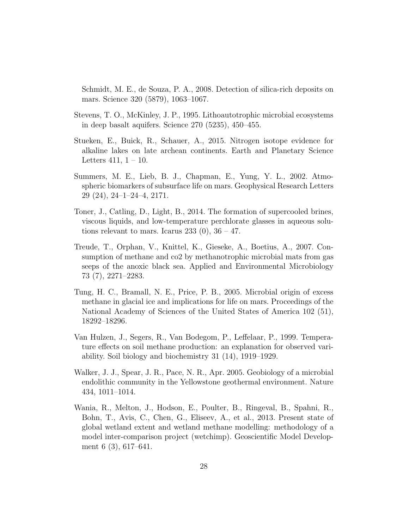Schmidt, M. E., de Souza, P. A., 2008. Detection of silica-rich deposits on mars. Science 320 (5879), 1063–1067.

- <span id="page-27-1"></span>Stevens, T. O., McKinley, J. P., 1995. Lithoautotrophic microbial ecosystems in deep basalt aquifers. Science 270 (5235), 450–455.
- <span id="page-27-6"></span>Stueken, E., Buick, R., Schauer, A., 2015. Nitrogen isotope evidence for alkaline lakes on late archean continents. Earth and Planetary Science Letters  $411, 1 - 10$ .
- <span id="page-27-0"></span>Summers, M. E., Lieb, B. J., Chapman, E., Yung, Y. L., 2002. Atmospheric biomarkers of subsurface life on mars. Geophysical Research Letters 29 (24), 24–1–24–4, 2171.
- <span id="page-27-4"></span>Toner, J., Catling, D., Light, B., 2014. The formation of supercooled brines, viscous liquids, and low-temperature perchlorate glasses in aqueous solutions relevant to mars. Icarus  $233(0)$ ,  $36-47$ .
- <span id="page-27-7"></span>Treude, T., Orphan, V., Knittel, K., Gieseke, A., Boetius, A., 2007. Consumption of methane and co2 by methanotrophic microbial mats from gas seeps of the anoxic black sea. Applied and Environmental Microbiology 73 (7), 2271–2283.
- <span id="page-27-3"></span>Tung, H. C., Bramall, N. E., Price, P. B., 2005. Microbial origin of excess methane in glacial ice and implications for life on mars. Proceedings of the National Academy of Sciences of the United States of America 102 (51), 18292–18296.
- <span id="page-27-5"></span>Van Hulzen, J., Segers, R., Van Bodegom, P., Leffelaar, P., 1999. Temperature effects on soil methane production: an explanation for observed variability. Soil biology and biochemistry 31 (14), 1919–1929.
- <span id="page-27-2"></span>Walker, J. J., Spear, J. R., Pace, N. R., Apr. 2005. Geobiology of a microbial endolithic community in the Yellowstone geothermal environment. Nature 434, 1011–1014.
- <span id="page-27-8"></span>Wania, R., Melton, J., Hodson, E., Poulter, B., Ringeval, B., Spahni, R., Bohn, T., Avis, C., Chen, G., Eliseev, A., et al., 2013. Present state of global wetland extent and wetland methane modelling: methodology of a model inter-comparison project (wetchimp). Geoscientific Model Development 6 (3), 617–641.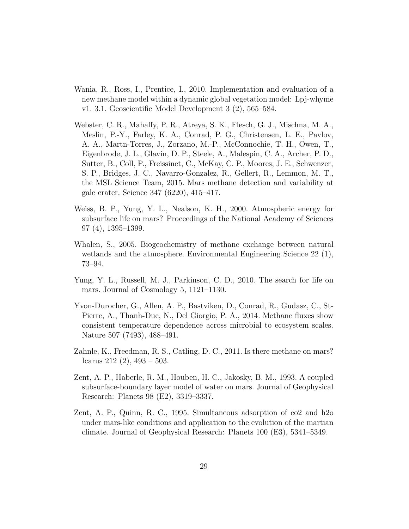- <span id="page-28-7"></span>Wania, R., Ross, I., Prentice, I., 2010. Implementation and evaluation of a new methane model within a dynamic global vegetation model: Lpj-whyme v1. 3.1. Geoscientific Model Development 3 (2), 565–584.
- <span id="page-28-1"></span>Webster, C. R., Mahaffy, P. R., Atreya, S. K., Flesch, G. J., Mischna, M. A., Meslin, P.-Y., Farley, K. A., Conrad, P. G., Christensen, L. E., Pavlov, A. A., Martn-Torres, J., Zorzano, M.-P., McConnochie, T. H., Owen, T., Eigenbrode, J. L., Glavin, D. P., Steele, A., Malespin, C. A., Archer, P. D., Sutter, B., Coll, P., Freissinet, C., McKay, C. P., Moores, J. E., Schwenzer, S. P., Bridges, J. C., Navarro-Gonzalez, R., Gellert, R., Lemmon, M. T., the MSL Science Team, 2015. Mars methane detection and variability at gale crater. Science 347 (6220), 415–417.
- <span id="page-28-2"></span>Weiss, B. P., Yung, Y. L., Nealson, K. H., 2000. Atmospheric energy for subsurface life on mars? Proceedings of the National Academy of Sciences 97 (4), 1395–1399.
- <span id="page-28-5"></span>Whalen, S., 2005. Biogeochemistry of methane exchange between natural wetlands and the atmosphere. Environmental Engineering Science 22 (1), 73–94.
- <span id="page-28-8"></span>Yung, Y. L., Russell, M. J., Parkinson, C. D., 2010. The search for life on mars. Journal of Cosmology 5, 1121–1130.
- <span id="page-28-6"></span>Yvon-Durocher, G., Allen, A. P., Bastviken, D., Conrad, R., Gudasz, C., St-Pierre, A., Thanh-Duc, N., Del Giorgio, P. A., 2014. Methane fluxes show consistent temperature dependence across microbial to ecosystem scales. Nature 507 (7493), 488–491.
- <span id="page-28-0"></span>Zahnle, K., Freedman, R. S., Catling, D. C., 2011. Is there methane on mars? Icarus 212  $(2)$ , 493 – 503.
- <span id="page-28-3"></span>Zent, A. P., Haberle, R. M., Houben, H. C., Jakosky, B. M., 1993. A coupled subsurface-boundary layer model of water on mars. Journal of Geophysical Research: Planets 98 (E2), 3319–3337.
- <span id="page-28-4"></span>Zent, A. P., Quinn, R. C., 1995. Simultaneous adsorption of co2 and h2o under mars-like conditions and application to the evolution of the martian climate. Journal of Geophysical Research: Planets 100 (E3), 5341–5349.